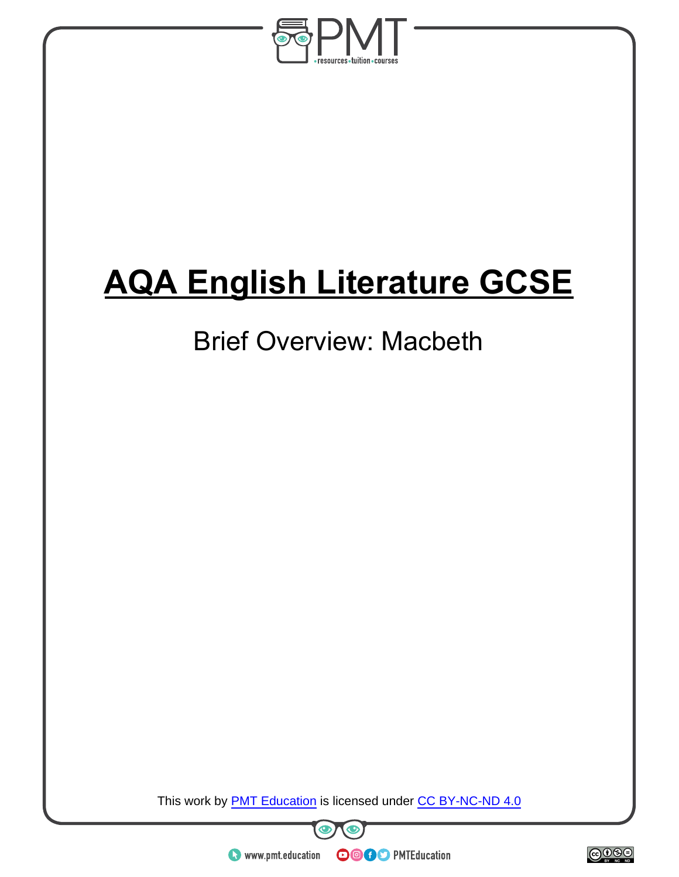

# **AQA English Literature GCSE**

# Brief Overview: Macbeth

This work by **PMT Education** is licensed under CC BY-NC-ND 4.0



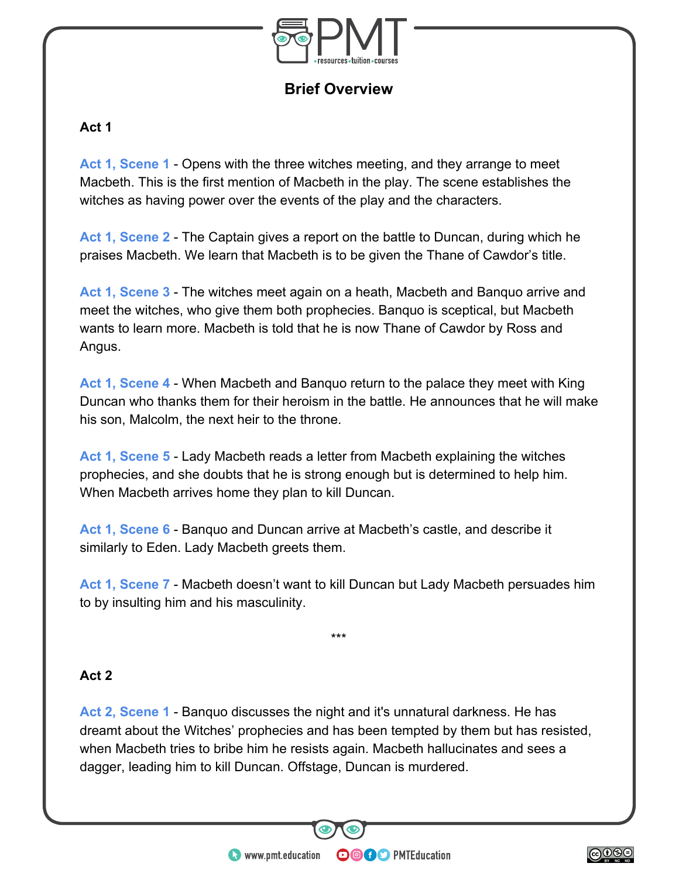

**Brief Overview**

### **Act 1**

**Act 1, Scene 1** - Opens with the three witches meeting, and they arrange to meet Macbeth. This is the first mention of Macbeth in the play. The scene establishes the witches as having power over the events of the play and the characters.

**Act 1, Scene 2** - The Captain gives a report on the battle to Duncan, during which he praises Macbeth. We learn that Macbeth is to be given the Thane of Cawdor's title.

**Act 1, Scene 3** - The witches meet again on a heath, Macbeth and Banquo arrive and meet the witches, who give them both prophecies. Banquo is sceptical, but Macbeth wants to learn more. Macbeth is told that he is now Thane of Cawdor by Ross and Angus.

**Act 1, Scene 4** - When Macbeth and Banquo return to the palace they meet with King Duncan who thanks them for their heroism in the battle. He announces that he will make his son, Malcolm, the next heir to the throne.

**Act 1, Scene 5** - Lady Macbeth reads a letter from Macbeth explaining the witches prophecies, and she doubts that he is strong enough but is determined to help him. When Macbeth arrives home they plan to kill Duncan.

**Act 1, Scene 6** - Banquo and Duncan arrive at Macbeth's castle, and describe it similarly to Eden. Lady Macbeth greets them.

**Act 1, Scene 7** - Macbeth doesn't want to kill Duncan but Lady Macbeth persuades him to by insulting him and his masculinity.

\*\*\*

#### **Act 2**

**Act 2, Scene 1** - Banquo discusses the night and it's unnatural darkness. He has dreamt about the Witches' prophecies and has been tempted by them but has resisted, when Macbeth tries to bribe him he resists again. Macbeth hallucinates and sees a dagger, leading him to kill Duncan. Offstage, Duncan is murdered.

**OOOO** PMTEducation

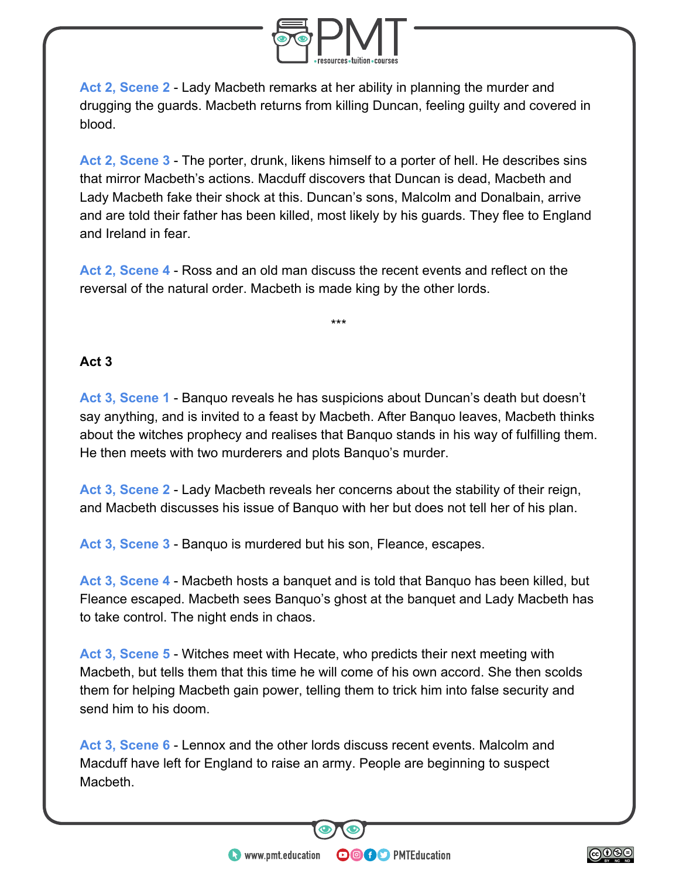

**Act 2, Scene 2** - Lady Macbeth remarks at her ability in planning the murder and drugging the guards. Macbeth returns from killing Duncan, feeling guilty and covered in blood.

**Act 2, Scene 3** - The porter, drunk, likens himself to a porter of hell. He describes sins that mirror Macbeth's actions. Macduff discovers that Duncan is dead, Macbeth and Lady Macbeth fake their shock at this. Duncan's sons, Malcolm and Donalbain, arrive and are told their father has been killed, most likely by his guards. They flee to England and Ireland in fear.

**Act 2, Scene 4** - Ross and an old man discuss the recent events and reflect on the reversal of the natural order. Macbeth is made king by the other lords.

\*\*\*

# **Act 3**

**Act 3, Scene 1** - Banquo reveals he has suspicions about Duncan's death but doesn't say anything, and is invited to a feast by Macbeth. After Banquo leaves, Macbeth thinks about the witches prophecy and realises that Banquo stands in his way of fulfilling them. He then meets with two murderers and plots Banquo's murder.

**Act 3, Scene 2** - Lady Macbeth reveals her concerns about the stability of their reign, and Macbeth discusses his issue of Banquo with her but does not tell her of his plan.

**Act 3, Scene 3** - Banquo is murdered but his son, Fleance, escapes.

**Act 3, Scene 4** - Macbeth hosts a banquet and is told that Banquo has been killed, but Fleance escaped. Macbeth sees Banquo's ghost at the banquet and Lady Macbeth has to take control. The night ends in chaos.

**Act 3, Scene 5** - Witches meet with Hecate, who predicts their next meeting with Macbeth, but tells them that this time he will come of his own accord. She then scolds them for helping Macbeth gain power, telling them to trick him into false security and send him to his doom.

**Act 3, Scene 6** - Lennox and the other lords discuss recent events. Malcolm and Macduff have left for England to raise an army. People are beginning to suspect Macbeth.

**OOOO** PMTEducation

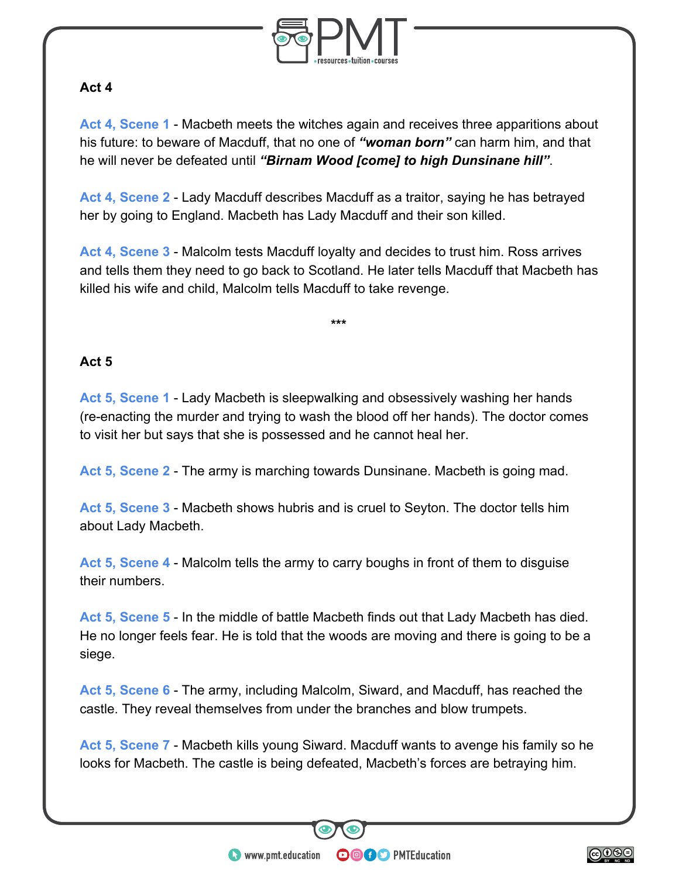

# **Act 4**

**Act 4, Scene 1** - Macbeth meets the witches again and receives three apparitions about his future: to beware of Macduff, that no one of *"woman born"* can harm him, and that he will never be defeated until *"Birnam Wood [come] to high Dunsinane hill"*.

**Act 4, Scene 2** - Lady Macduff describes Macduff as a traitor, saying he has betrayed her by going to England. Macbeth has Lady Macduff and their son killed.

**Act 4, Scene 3** - Malcolm tests Macduff loyalty and decides to trust him. Ross arrives and tells them they need to go back to Scotland. He later tells Macduff that Macbeth has killed his wife and child, Malcolm tells Macduff to take revenge.

**\*\*\***

# **Act 5**

**Act 5, Scene 1** - Lady Macbeth is sleepwalking and obsessively washing her hands (re-enacting the murder and trying to wash the blood off her hands). The doctor comes to visit her but says that she is possessed and he cannot heal her.

**Act 5, Scene 2** - The army is marching towards Dunsinane. Macbeth is going mad.

**Act 5, Scene 3** - Macbeth shows hubris and is cruel to Seyton. The doctor tells him about Lady Macbeth.

**Act 5, Scene 4** - Malcolm tells the army to carry boughs in front of them to disguise their numbers.

**Act 5, Scene 5** - In the middle of battle Macbeth finds out that Lady Macbeth has died. He no longer feels fear. He is told that the woods are moving and there is going to be a siege.

**Act 5, Scene 6** - The army, including Malcolm, Siward, and Macduff, has reached the castle. They reveal themselves from under the branches and blow trumpets.

**Act 5, Scene 7** - Macbeth kills young Siward. Macduff wants to avenge his family so he looks for Macbeth. The castle is being defeated, Macbeth's forces are betraying him.

**OOOO** PMTEducation